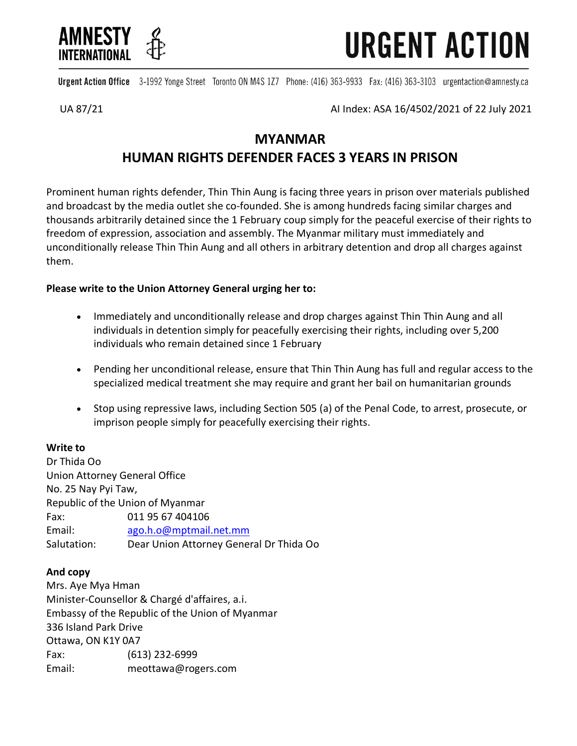



Urgent Action Office 3-1992 Yonge Street Toronto ON M4S 1Z7 Phone: (416) 363-9933 Fax: (416) 363-3103 urgentaction@amnesty.ca

UA 87/21 AI Index: ASA 16/4502/2021 of 22 July 2021

# **MYANMAR HUMAN RIGHTS DEFENDER FACES 3 YEARS IN PRISON**

Prominent human rights defender, Thin Thin Aung is facing three years in prison over materials published and broadcast by the media outlet she co-founded. She is among hundreds facing similar charges and thousands arbitrarily detained since the 1 February coup simply for the peaceful exercise of their rights to freedom of expression, association and assembly. The Myanmar military must immediately and unconditionally release Thin Thin Aung and all others in arbitrary detention and drop all charges against them.

## **Please write to the Union Attorney General urging her to:**

- Immediately and unconditionally release and drop charges against Thin Thin Aung and all individuals in detention simply for peacefully exercising their rights, including over 5,200 individuals who remain detained since 1 February
- Pending her unconditional release, ensure that Thin Thin Aung has full and regular access to the specialized medical treatment she may require and grant her bail on humanitarian grounds
- Stop using repressive laws, including Section 505 (a) of the Penal Code, to arrest, prosecute, or imprison people simply for peacefully exercising their rights.

## **Write to**

Dr Thida Oo Union Attorney General Office No. 25 Nay Pyi Taw, Republic of the Union of Myanmar Fax: 011 95 67 404106 Email: [ago.h.o@mptmail.net.mm](mailto:ago.h.o@mptmail.net.mm) Salutation: Dear Union Attorney General Dr Thida Oo

### **And copy**

Mrs. Aye Mya Hman Minister-Counsellor & Chargé d'affaires, a.i. Embassy of the Republic of the Union of Myanmar 336 Island Park Drive Ottawa, ON K1Y 0A7 Fax: (613) 232-6999 Email: meottawa@rogers.com